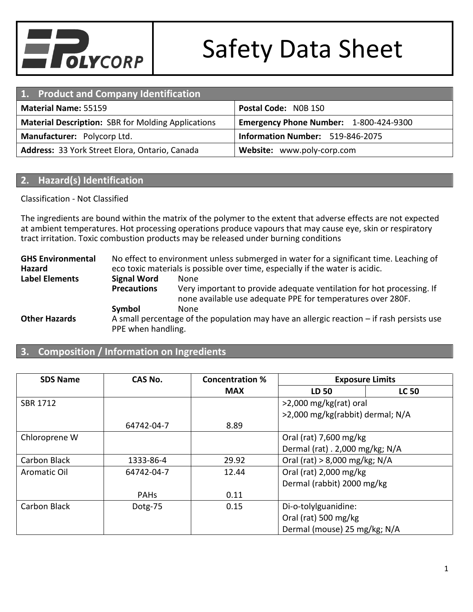

| 1. Product and Company Identification                                                               |                                  |  |
|-----------------------------------------------------------------------------------------------------|----------------------------------|--|
| Postal Code: NOB 1SO<br><b>Material Name: 55159</b>                                                 |                                  |  |
| <b>Material Description: SBR for Molding Applications</b><br>Emergency Phone Number: 1-800-424-9300 |                                  |  |
| Manufacturer: Polycorp Ltd.                                                                         | Information Number: 519-846-2075 |  |
| Address: 33 York Street Elora, Ontario, Canada                                                      | Website: www.poly-corp.com       |  |

# **2. Hazard(s) Identification**

### Classification - Not Classified

The ingredients are bound within the matrix of the polymer to the extent that adverse effects are not expected at ambient temperatures. Hot processing operations produce vapours that may cause eye, skin or respiratory tract irritation. Toxic combustion products may be released under burning conditions

**GHS Environmental Hazard** No effect to environment unless submerged in water for a significant time. Leaching of eco toxic materials is possible over time, especially if the water is acidic. **Label Elements Signal Word** None **Precautions** Very important to provide adequate ventilation for hot processing. If none available use adequate PPE for temperatures over 280F. **Symbol** None **Other Hazards** A small percentage of the population may have an allergic reaction – if rash persists use PPE when handling.

# **3. Composition / Information on Ingredients**

| <b>SDS Name</b> | CAS No.     | <b>Concentration %</b> | <b>Exposure Limits</b>           |              |
|-----------------|-------------|------------------------|----------------------------------|--------------|
|                 |             | <b>MAX</b>             | LD 50                            | <b>LC 50</b> |
| <b>SBR 1712</b> |             |                        | $>2,000$ mg/kg(rat) oral         |              |
|                 |             |                        | >2,000 mg/kg(rabbit) dermal; N/A |              |
|                 | 64742-04-7  | 8.89                   |                                  |              |
| Chloroprene W   |             |                        | Oral (rat) $7,600$ mg/kg         |              |
|                 |             |                        | Dermal (rat) . 2,000 mg/kg; N/A  |              |
| Carbon Black    | 1333-86-4   | 29.92                  | Oral (rat) $> 8,000$ mg/kg; N/A  |              |
| Aromatic Oil    | 64742-04-7  | 12.44                  | Oral (rat) 2,000 mg/kg           |              |
|                 |             |                        | Dermal (rabbit) 2000 mg/kg       |              |
|                 | <b>PAHs</b> | 0.11                   |                                  |              |
| Carbon Black    | Dotg-75     | 0.15                   | Di-o-tolylguanidine:             |              |
|                 |             |                        | Oral (rat) 500 mg/kg             |              |
|                 |             |                        | Dermal (mouse) 25 mg/kg; N/A     |              |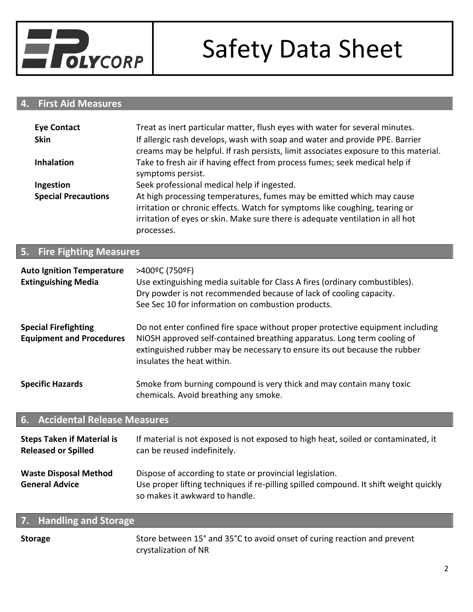

# **4. First Aid Measures**

| <b>Eye Contact</b>         | Treat as inert particular matter, flush eyes with water for several minutes.                                                                                                                                                                         |
|----------------------------|------------------------------------------------------------------------------------------------------------------------------------------------------------------------------------------------------------------------------------------------------|
| <b>Skin</b>                | If allergic rash develops, wash with soap and water and provide PPE. Barrier<br>creams may be helpful. If rash persists, limit associates exposure to this material.                                                                                 |
| <b>Inhalation</b>          | Take to fresh air if having effect from process fumes; seek medical help if<br>symptoms persist.                                                                                                                                                     |
| Ingestion                  | Seek professional medical help if ingested.                                                                                                                                                                                                          |
| <b>Special Precautions</b> | At high processing temperatures, fumes may be emitted which may cause<br>irritation or chronic effects. Watch for symptoms like coughing, tearing or<br>irritation of eyes or skin. Make sure there is adequate ventilation in all hot<br>processes. |

# **5. Fire Fighting Measures**

| <b>Auto Ignition Temperature</b><br><b>Extinguishing Media</b> | >400°C (750°F)<br>Use extinguishing media suitable for Class A fires (ordinary combustibles).<br>Dry powder is not recommended because of lack of cooling capacity.<br>See Sec 10 for information on combustion products.                                            |  |
|----------------------------------------------------------------|----------------------------------------------------------------------------------------------------------------------------------------------------------------------------------------------------------------------------------------------------------------------|--|
| <b>Special Firefighting</b><br><b>Equipment and Procedures</b> | Do not enter confined fire space without proper protective equipment including<br>NIOSH approved self-contained breathing apparatus. Long term cooling of<br>extinguished rubber may be necessary to ensure its out because the rubber<br>insulates the heat within. |  |
| <b>Specific Hazards</b>                                        | Smoke from burning compound is very thick and may contain many toxic<br>chemicals. Avoid breathing any smoke.                                                                                                                                                        |  |
| <b>6. Accidental Release Measures</b>                          |                                                                                                                                                                                                                                                                      |  |

#### **Steps Taken if Material is Released or Spilled** If material is not exposed is not exposed to high heat, soiled or contaminated, it can be reused indefinitely. Waste Disposal Method Dispose of according to state or provincial legislation. General Advice **Use proper lifting techniques if re-pilling spilled compound. It shift weight quickly** so makes it awkward to handle.

# **7. Handling and Storage**

**Storage** Store between 15° and 35°C to avoid onset of curing reaction and prevent crystalization of NR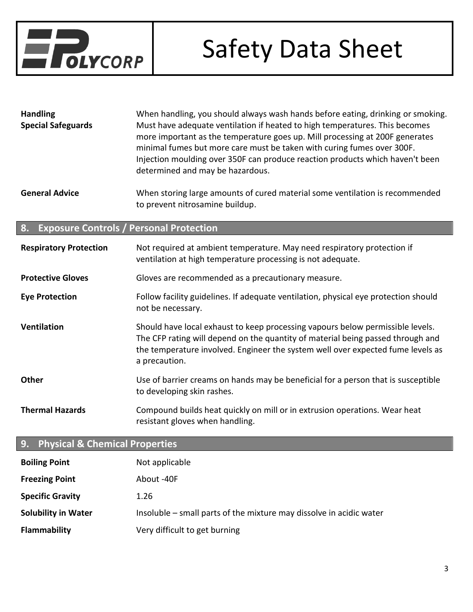

| <b>Handling</b><br><b>Special Safeguards</b> | When handling, you should always wash hands before eating, drinking or smoking.<br>Must have adequate ventilation if heated to high temperatures. This becomes<br>more important as the temperature goes up. Mill processing at 200F generates<br>minimal fumes but more care must be taken with curing fumes over 300F.<br>Injection moulding over 350F can produce reaction products which haven't been<br>determined and may be hazardous. |
|----------------------------------------------|-----------------------------------------------------------------------------------------------------------------------------------------------------------------------------------------------------------------------------------------------------------------------------------------------------------------------------------------------------------------------------------------------------------------------------------------------|
| <b>General Advice</b>                        | When storing large amounts of cured material some ventilation is recommended                                                                                                                                                                                                                                                                                                                                                                  |

to prevent nitrosamine buildup.

## **8. Exposure Controls / Personal Protection**

| <b>Respiratory Protection</b> | Not required at ambient temperature. May need respiratory protection if<br>ventilation at high temperature processing is not adequate.                                                                                                                                |  |
|-------------------------------|-----------------------------------------------------------------------------------------------------------------------------------------------------------------------------------------------------------------------------------------------------------------------|--|
| <b>Protective Gloves</b>      | Gloves are recommended as a precautionary measure.                                                                                                                                                                                                                    |  |
| <b>Eye Protection</b>         | Follow facility guidelines. If adequate ventilation, physical eye protection should<br>not be necessary.                                                                                                                                                              |  |
| <b>Ventilation</b>            | Should have local exhaust to keep processing vapours below permissible levels.<br>The CFP rating will depend on the quantity of material being passed through and<br>the temperature involved. Engineer the system well over expected fume levels as<br>a precaution. |  |
| <b>Other</b>                  | Use of barrier creams on hands may be beneficial for a person that is susceptible<br>to developing skin rashes.                                                                                                                                                       |  |
| <b>Thermal Hazards</b>        | Compound builds heat quickly on mill or in extrusion operations. Wear heat<br>resistant gloves when handling.                                                                                                                                                         |  |

# **9. Physical & Chemical Properties**

| <b>Boiling Point</b>       | Not applicable                                                      |
|----------------------------|---------------------------------------------------------------------|
| <b>Freezing Point</b>      | About -40F                                                          |
| <b>Specific Gravity</b>    | 1.26                                                                |
| <b>Solubility in Water</b> | Insoluble – small parts of the mixture may dissolve in acidic water |
| <b>Flammability</b>        | Very difficult to get burning                                       |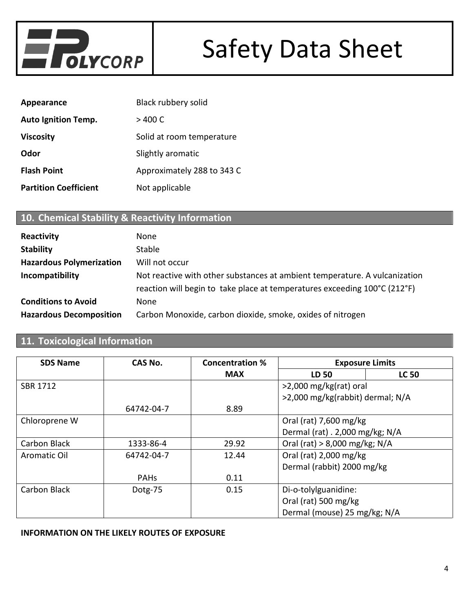

| Appearance                   | <b>Black rubbery solid</b> |
|------------------------------|----------------------------|
| <b>Auto Ignition Temp.</b>   | $>$ 400 C                  |
| <b>Viscosity</b>             | Solid at room temperature  |
| Odor                         | Slightly aromatic          |
| <b>Flash Point</b>           | Approximately 288 to 343 C |
| <b>Partition Coefficient</b> | Not applicable             |

# **10. Chemical Stability & Reactivity Information**

| Reactivity                      | None                                                                                                                                                    |
|---------------------------------|---------------------------------------------------------------------------------------------------------------------------------------------------------|
| <b>Stability</b>                | <b>Stable</b>                                                                                                                                           |
| <b>Hazardous Polymerization</b> | Will not occur                                                                                                                                          |
| Incompatibility                 | Not reactive with other substances at ambient temperature. A vulcanization<br>reaction will begin to take place at temperatures exceeding 100°C (212°F) |
| <b>Conditions to Avoid</b>      | None                                                                                                                                                    |
| <b>Hazardous Decomposition</b>  | Carbon Monoxide, carbon dioxide, smoke, oxides of nitrogen                                                                                              |

# **11. Toxicological Information**

| <b>SDS Name</b> | CAS No.     | <b>Concentration %</b> | <b>Exposure Limits</b>           |              |
|-----------------|-------------|------------------------|----------------------------------|--------------|
|                 |             | <b>MAX</b>             | LD 50                            | <b>LC 50</b> |
| <b>SBR 1712</b> |             |                        | $>2,000$ mg/kg(rat) oral         |              |
|                 |             |                        | >2,000 mg/kg(rabbit) dermal; N/A |              |
|                 | 64742-04-7  | 8.89                   |                                  |              |
| Chloroprene W   |             |                        | Oral (rat) 7,600 mg/kg           |              |
|                 |             |                        | Dermal (rat) . 2,000 mg/kg; N/A  |              |
| Carbon Black    | 1333-86-4   | 29.92                  | Oral (rat) $> 8,000$ mg/kg; N/A  |              |
| Aromatic Oil    | 64742-04-7  | 12.44                  | Oral (rat) 2,000 mg/kg           |              |
|                 |             |                        | Dermal (rabbit) 2000 mg/kg       |              |
|                 | <b>PAHs</b> | 0.11                   |                                  |              |
| Carbon Black    | Dotg-75     | 0.15                   | Di-o-tolylguanidine:             |              |
|                 |             |                        | Oral (rat) 500 mg/kg             |              |
|                 |             |                        | Dermal (mouse) 25 mg/kg; N/A     |              |

#### **INFORMATION ON THE LIKELY ROUTES OF EXPOSURE**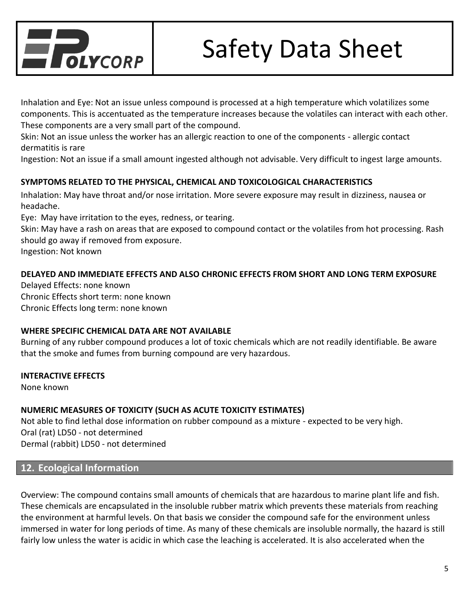

Inhalation and Eye: Not an issue unless compound is processed at a high temperature which volatilizes some components. This is accentuated as the temperature increases because the volatiles can interact with each other. These components are a very small part of the compound.

Skin: Not an issue unless the worker has an allergic reaction to one of the components - allergic contact dermatitis is rare

Ingestion: Not an issue if a small amount ingested although not advisable. Very difficult to ingest large amounts.

### **SYMPTOMS RELATED TO THE PHYSICAL, CHEMICAL AND TOXICOLOGICAL CHARACTERISTICS**

Inhalation: May have throat and/or nose irritation. More severe exposure may result in dizziness, nausea or headache.

Eye: May have irritation to the eyes, redness, or tearing.

Skin: May have a rash on areas that are exposed to compound contact or the volatiles from hot processing. Rash should go away if removed from exposure.

Ingestion: Not known

### **DELAYED AND IMMEDIATE EFFECTS AND ALSO CHRONIC EFFECTS FROM SHORT AND LONG TERM EXPOSURE**

Delayed Effects: none known Chronic Effects short term: none known Chronic Effects long term: none known

### **WHERE SPECIFIC CHEMICAL DATA ARE NOT AVAILABLE**

Burning of any rubber compound produces a lot of toxic chemicals which are not readily identifiable. Be aware that the smoke and fumes from burning compound are very hazardous.

### **INTERACTIVE EFFECTS**

None known

### **NUMERIC MEASURES OF TOXICITY (SUCH AS ACUTE TOXICITY ESTIMATES)**

Not able to find lethal dose information on rubber compound as a mixture - expected to be very high. Oral (rat) LD50 - not determined Dermal (rabbit) LD50 - not determined

# **12. Ecological Information**

Overview: The compound contains small amounts of chemicals that are hazardous to marine plant life and fish. These chemicals are encapsulated in the insoluble rubber matrix which prevents these materials from reaching the environment at harmful levels. On that basis we consider the compound safe for the environment unless immersed in water for long periods of time. As many of these chemicals are insoluble normally, the hazard is still fairly low unless the water is acidic in which case the leaching is accelerated. It is also accelerated when the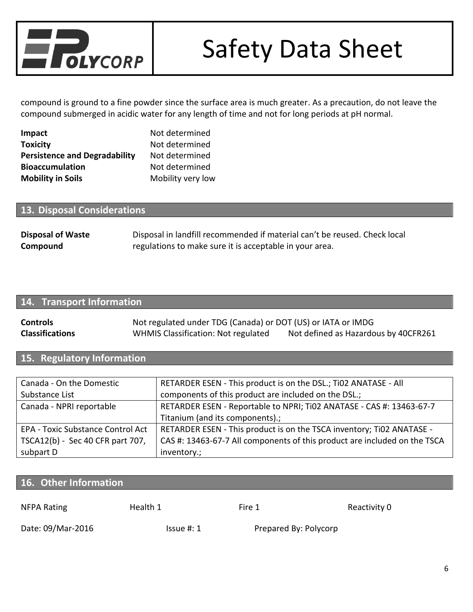

compound is ground to a fine powder since the surface area is much greater. As a precaution, do not leave the compound submerged in acidic water for any length of time and not for long periods at pH normal.

| <b>Impact</b>                        | Not determined    |
|--------------------------------------|-------------------|
| <b>Toxicity</b>                      | Not determined    |
| <b>Persistence and Degradability</b> | Not determined    |
| <b>Bioaccumulation</b>               | Not determined    |
| <b>Mobility in Soils</b>             | Mobility very low |

## **13. Disposal Considerations**

| <b>Disposal of Waste</b> | Disposal in landfill recommended if material can't be reused. Check local |
|--------------------------|---------------------------------------------------------------------------|
| Compound                 | regulations to make sure it is acceptable in your area.                   |

## **14. Transport Information**

| <b>Controls</b>        | Not regulated under TDG (Canada) or DOT (US) or IATA or IMDG |                                      |  |
|------------------------|--------------------------------------------------------------|--------------------------------------|--|
| <b>Classifications</b> | <b>WHMIS Classification: Not regulated</b>                   | Not defined as Hazardous by 40CFR261 |  |

# **15. Regulatory Information**

| Canada - On the Domestic                 | RETARDER ESEN - This product is on the DSL.; Ti02 ANATASE - All           |  |
|------------------------------------------|---------------------------------------------------------------------------|--|
| Substance List                           | components of this product are included on the DSL.;                      |  |
| Canada - NPRI reportable                 | RETARDER ESEN - Reportable to NPRI; Ti02 ANATASE - CAS #: 13463-67-7      |  |
|                                          | Titanium (and its components).;                                           |  |
| <b>EPA - Toxic Substance Control Act</b> | RETARDER ESEN - This product is on the TSCA inventory; Ti02 ANATASE -     |  |
| TSCA12(b) - Sec 40 CFR part 707,         | CAS #: 13463-67-7 All components of this product are included on the TSCA |  |
| subpart D                                | inventory.;                                                               |  |

# **16. Other Information**

| NFPA Rating       | Health 1      | Fire 1                | Reactivity 0 |
|-------------------|---------------|-----------------------|--------------|
| Date: 09/Mar-2016 | $Is sue$ #: 1 | Prepared By: Polycorp |              |